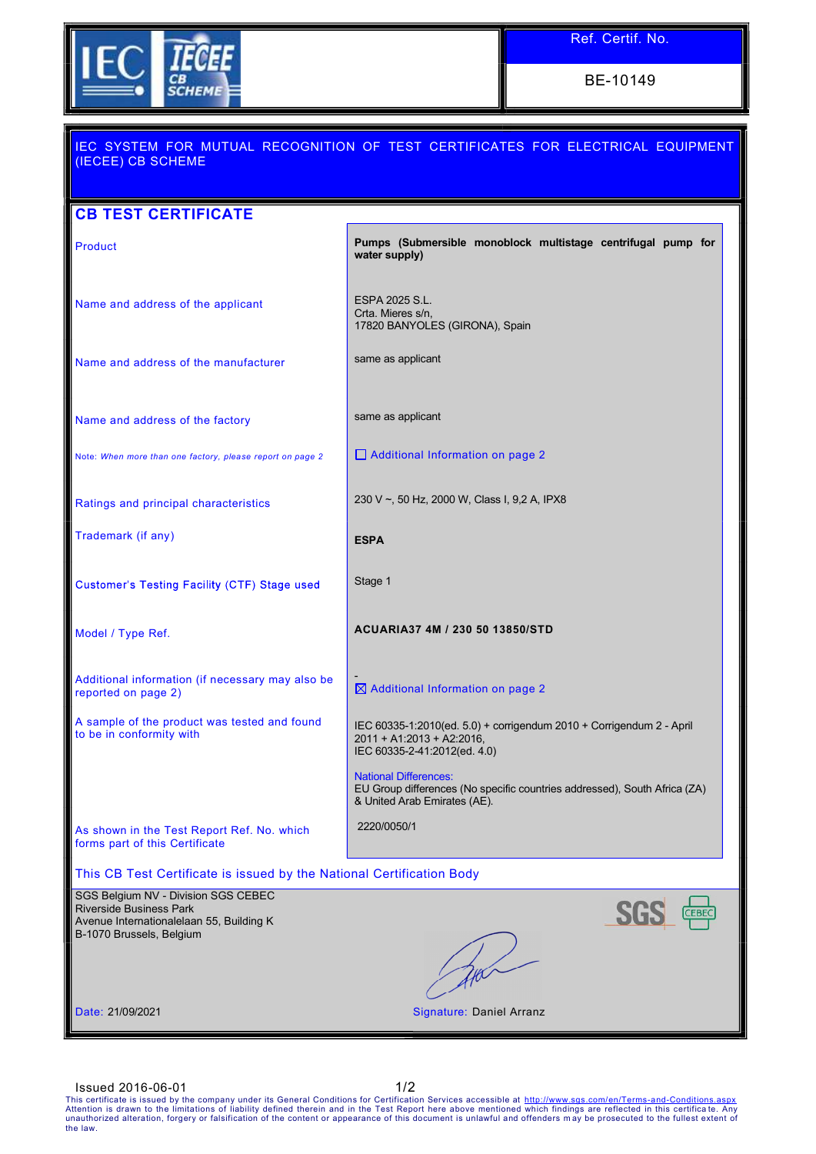

BE-10149

| (IECEE) CB SCHEME                                                                                                                      | IEC SYSTEM FOR MUTUAL RECOGNITION OF TEST CERTIFICATES FOR ELECTRICAL EQUIPMENT                                                           |
|----------------------------------------------------------------------------------------------------------------------------------------|-------------------------------------------------------------------------------------------------------------------------------------------|
| <b>CB TEST CERTIFICATE</b>                                                                                                             |                                                                                                                                           |
| <b>Product</b>                                                                                                                         | Pumps (Submersible monoblock multistage centrifugal pump for<br>water supply)                                                             |
| Name and address of the applicant                                                                                                      | ESPA 2025 S.L.<br>Crta. Mieres s/n,<br>17820 BANYOLES (GIRONA), Spain                                                                     |
| Name and address of the manufacturer                                                                                                   | same as applicant                                                                                                                         |
| Name and address of the factory                                                                                                        | same as applicant                                                                                                                         |
| Note: When more than one factory, please report on page 2                                                                              | Additional Information on page 2                                                                                                          |
| Ratings and principal characteristics                                                                                                  | 230 V ~, 50 Hz, 2000 W, Class I, 9,2 A, IPX8                                                                                              |
| Trademark (if any)                                                                                                                     | <b>ESPA</b>                                                                                                                               |
| Customer's Testing Facility (CTF) Stage used                                                                                           | Stage 1                                                                                                                                   |
| Model / Type Ref.                                                                                                                      | ACUARIA37 4M / 230 50 13850/STD                                                                                                           |
| Additional information (if necessary may also be<br>reported on page 2)                                                                | $\boxtimes$ Additional Information on page 2                                                                                              |
| A sample of the product was tested and found<br>to be in conformity with                                                               | IEC 60335-1:2010(ed. 5.0) + corrigendum 2010 + Corrigendum 2 - April<br>$2011 + A1:2013 + A2:2016,$<br>IEC 60335-2-41:2012(ed. 4.0)       |
|                                                                                                                                        | <b>National Differences:</b><br>EU Group differences (No specific countries addressed), South Africa (ZA)<br>& United Arab Emirates (AE). |
| As shown in the Test Report Ref. No. which<br>forms part of this Certificate                                                           | 2220/0050/1                                                                                                                               |
| This CB Test Certificate is issued by the National Certification Body                                                                  |                                                                                                                                           |
| SGS Belgium NV - Division SGS CEBEC<br>Riverside Business Park<br>Avenue Internationalelaan 55, Building K<br>B-1070 Brussels, Belgium | <b>CEBEC</b>                                                                                                                              |
|                                                                                                                                        |                                                                                                                                           |
| Date: 21/09/2021                                                                                                                       | Signature: Daniel Arranz                                                                                                                  |

ISSUED 2016-06-01<br>This certificate is issued by the company under its General Conditions for Certification Services accessible at http://www.sgs.com/en/Terms-and-Conditions.aspx<br>Attention is drawn to the limitations of lia